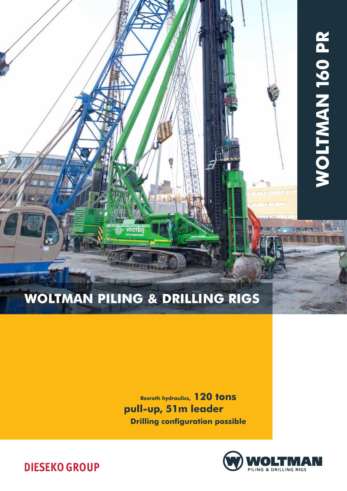

# WOLTMAN PILING & DRILLING RIGS

vocrb

Rexroth hydraulics, 120 tons pull-up, 51m leader Drilling configuration possible



**DIESEKO GROUP**